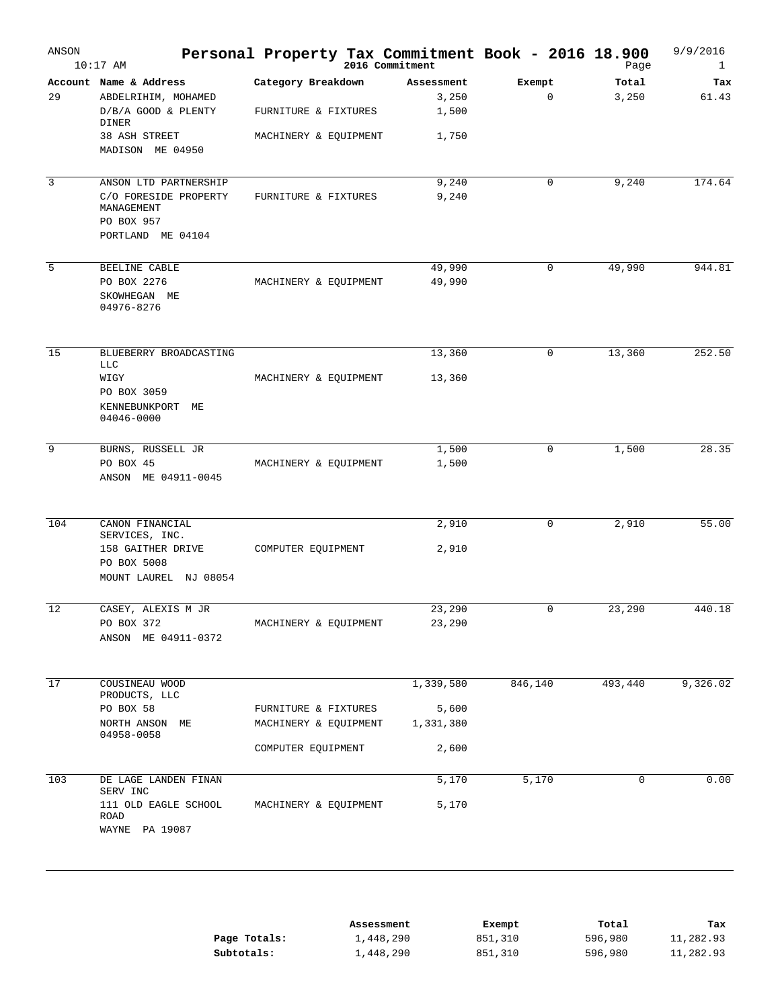| ANSON | $10:17$ AM                                                                  | Personal Property Tax Commitment Book - 2016 18.900<br>2016 Commitment |            |             | Page    | 9/9/2016<br>$\mathbf{1}$ |
|-------|-----------------------------------------------------------------------------|------------------------------------------------------------------------|------------|-------------|---------|--------------------------|
|       | Account Name & Address                                                      | Category Breakdown                                                     | Assessment | Exempt      | Total   | Tax                      |
| 29    | ABDELRIHIM, MOHAMED                                                         |                                                                        | 3,250      | $\mathbf 0$ | 3,250   | 61.43                    |
|       | D/B/A GOOD & PLENTY<br>DINER                                                | FURNITURE & FIXTURES                                                   | 1,500      |             |         |                          |
|       | 38 ASH STREET<br>MADISON ME 04950                                           | MACHINERY & EQUIPMENT                                                  | 1,750      |             |         |                          |
| 3     | ANSON LTD PARTNERSHIP                                                       |                                                                        | 9,240      | 0           | 9,240   | 174.64                   |
|       | C/O FORESIDE PROPERTY<br>MANAGEMENT<br>PO BOX 957<br>PORTLAND ME 04104      | FURNITURE & FIXTURES                                                   | 9,240      |             |         |                          |
| 5     | BEELINE CABLE                                                               |                                                                        | 49,990     | 0           | 49,990  | 944.81                   |
|       |                                                                             |                                                                        |            |             |         |                          |
|       | PO BOX 2276<br>SKOWHEGAN ME<br>04976-8276                                   | MACHINERY & EQUIPMENT                                                  | 49,990     |             |         |                          |
| 15    | BLUEBERRY BROADCASTING                                                      |                                                                        | 13,360     | 0           | 13,360  | 252.50                   |
|       | LLC                                                                         |                                                                        |            |             |         |                          |
|       | WIGY<br>PO BOX 3059<br>KENNEBUNKPORT<br>MЕ<br>04046-0000                    | MACHINERY & EQUIPMENT                                                  | 13,360     |             |         |                          |
| 9     | BURNS, RUSSELL JR                                                           |                                                                        | 1,500      | $\mathbf 0$ | 1,500   | 28.35                    |
|       | PO BOX 45<br>ANSON ME 04911-0045                                            | MACHINERY & EQUIPMENT                                                  | 1,500      |             |         |                          |
| 104   | CANON FINANCIAL                                                             |                                                                        | 2,910      | $\mathbf 0$ | 2,910   | 55.00                    |
|       | SERVICES, INC.<br>158 GAITHER DRIVE<br>PO BOX 5008<br>MOUNT LAUREL NJ 08054 | COMPUTER EQUIPMENT                                                     | 2,910      |             |         |                          |
| 12    | CASEY, ALEXIS M JR                                                          |                                                                        | 23,290     | $\mathbf 0$ | 23,290  | 440.18                   |
|       | PO BOX 372<br>ANSON ME 04911-0372                                           | MACHINERY & EQUIPMENT                                                  | 23,290     |             |         |                          |
| 17    | COUSINEAU WOOD                                                              |                                                                        | 1,339,580  | 846,140     | 493,440 | 9,326.02                 |
|       | PRODUCTS, LLC<br>PO BOX 58                                                  | FURNITURE & FIXTURES                                                   | 5,600      |             |         |                          |
|       | NORTH ANSON ME                                                              | MACHINERY & EQUIPMENT                                                  | 1,331,380  |             |         |                          |
|       | 04958-0058                                                                  | COMPUTER EQUIPMENT                                                     | 2,600      |             |         |                          |
|       |                                                                             |                                                                        |            |             |         |                          |
| 103   | DE LAGE LANDEN FINAN<br>SERV INC                                            |                                                                        | 5,170      | 5,170       | 0       | 0.00                     |
|       | 111 OLD EAGLE SCHOOL<br>ROAD<br>WAYNE PA 19087                              | MACHINERY & EQUIPMENT                                                  | 5,170      |             |         |                          |

|              | Assessment | Exempt  | Total   | Tax       |
|--------------|------------|---------|---------|-----------|
| Page Totals: | 1,448,290  | 851,310 | 596,980 | 11,282.93 |
| Subtotals:   | 1,448,290  | 851,310 | 596,980 | 11,282.93 |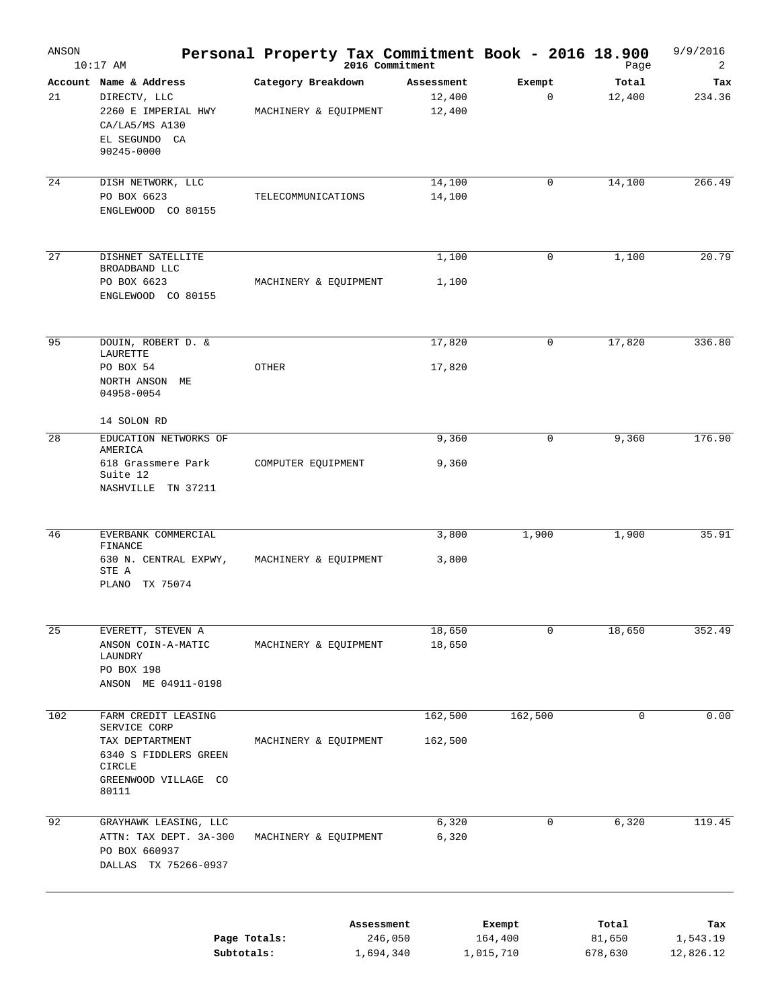| ANSON | $10:17$ AM                                                                                                                 | Personal Property Tax Commitment Book - 2016 18.900 | 2016 Commitment                    |                                | Page                       | 9/9/2016<br>2                |
|-------|----------------------------------------------------------------------------------------------------------------------------|-----------------------------------------------------|------------------------------------|--------------------------------|----------------------------|------------------------------|
| 21    | Account Name & Address<br>DIRECTV, LLC<br>2260 E IMPERIAL HWY<br>CA/LA5/MS A130<br>EL SEGUNDO CA<br>90245-0000             | Category Breakdown<br>MACHINERY & EQUIPMENT         | Assessment<br>12,400<br>12,400     | Exempt<br>0                    | Total<br>12,400            | Tax<br>234.36                |
| 24    | DISH NETWORK, LLC<br>PO BOX 6623<br>ENGLEWOOD CO 80155                                                                     | TELECOMMUNICATIONS                                  | 14,100<br>14,100                   | 0                              | 14,100                     | 266.49                       |
| 27    | DISHNET SATELLITE<br>BROADBAND LLC<br>PO BOX 6623<br>ENGLEWOOD CO 80155                                                    | MACHINERY & EQUIPMENT                               | 1,100<br>1,100                     | 0                              | 1,100                      | 20.79                        |
| 95    | DOUIN, ROBERT D. &<br>LAURETTE<br>PO BOX 54<br>NORTH ANSON ME<br>04958-0054                                                | OTHER                                               | 17,820<br>17,820                   | 0                              | 17,820                     | 336.80                       |
| 28    | 14 SOLON RD<br>EDUCATION NETWORKS OF<br>AMERICA<br>618 Grassmere Park<br>Suite 12<br>NASHVILLE TN 37211                    | COMPUTER EQUIPMENT                                  | 9,360<br>9,360                     | 0                              | 9,360                      | 176.90                       |
| 46    | EVERBANK COMMERCIAL<br>FINANCE<br>630 N. CENTRAL EXPWY,<br>STE A<br>PLANO<br>TX 75074                                      | MACHINERY & EQUIPMENT                               | 3,800<br>3,800                     | 1,900                          | 1,900                      | 35.91                        |
| 25    | EVERETT, STEVEN A<br>ANSON COIN-A-MATIC<br>LAUNDRY<br>PO BOX 198<br>ANSON ME 04911-0198                                    | MACHINERY & EQUIPMENT                               | 18,650<br>18,650                   | 0                              | 18,650                     | 352.49                       |
| 102   | FARM CREDIT LEASING<br>SERVICE CORP<br>TAX DEPTARTMENT<br>6340 S FIDDLERS GREEN<br>CIRCLE<br>GREENWOOD VILLAGE CO<br>80111 | MACHINERY & EQUIPMENT                               | 162,500<br>162,500                 | 162,500                        | 0                          | 0.00                         |
| 92    | GRAYHAWK LEASING, LLC<br>ATTN: TAX DEPT. 3A-300<br>PO BOX 660937<br>DALLAS TX 75266-0937                                   | MACHINERY & EQUIPMENT                               | 6,320<br>6,320                     | 0                              | 6,320                      | 119.45                       |
|       | Page Totals:<br>Subtotals:                                                                                                 |                                                     | Assessment<br>246,050<br>1,694,340 | Exempt<br>164,400<br>1,015,710 | Total<br>81,650<br>678,630 | Tax<br>1,543.19<br>12,826.12 |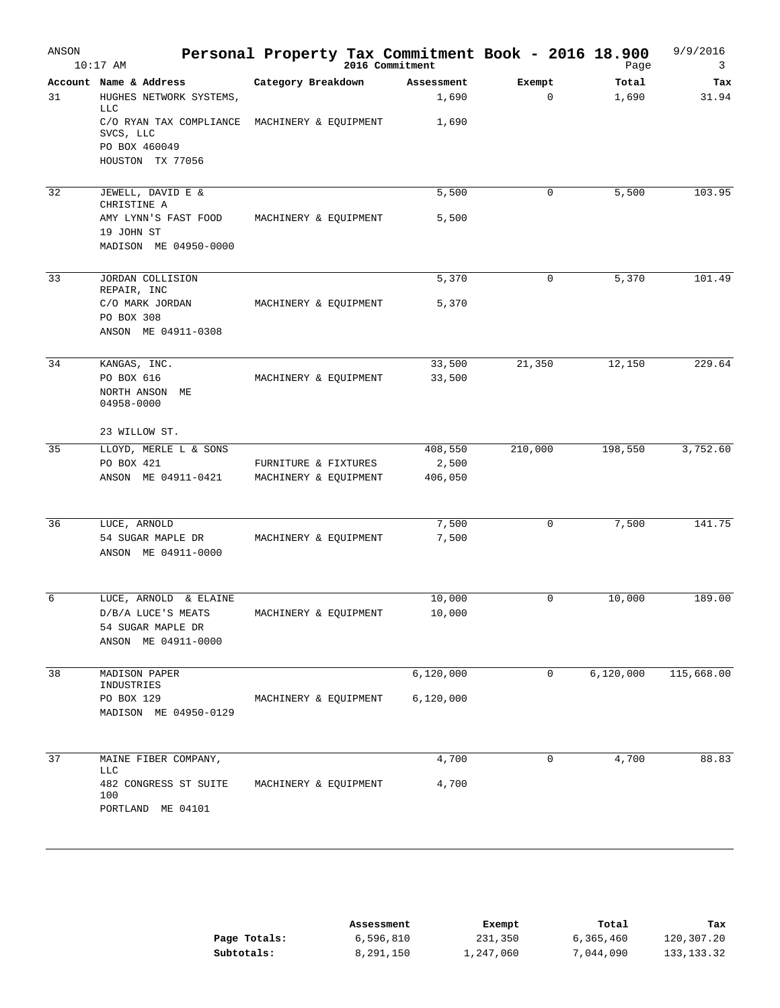| ANSON | $10:17$ AM                                                                            | Personal Property Tax Commitment Book - 2016 18.900<br>2016 Commitment |                     |                       | Page           | 9/9/2016<br>3 |
|-------|---------------------------------------------------------------------------------------|------------------------------------------------------------------------|---------------------|-----------------------|----------------|---------------|
| 31    | Account Name & Address<br>HUGHES NETWORK SYSTEMS,<br><b>LLC</b>                       | Category Breakdown                                                     | Assessment<br>1,690 | Exempt<br>$\mathbf 0$ | Total<br>1,690 | Tax<br>31.94  |
|       | C/O RYAN TAX COMPLIANCE<br>SVCS, LLC<br>PO BOX 460049<br>HOUSTON TX 77056             | MACHINERY & EQUIPMENT                                                  | 1,690               |                       |                |               |
| 32    | JEWELL, DAVID E &<br>CHRISTINE A                                                      |                                                                        | 5,500               | $\mathbf 0$           | 5,500          | 103.95        |
|       | AMY LYNN'S FAST FOOD<br>19 JOHN ST<br>MADISON ME 04950-0000                           | MACHINERY & EQUIPMENT                                                  | 5,500               |                       |                |               |
| 33    | JORDAN COLLISION                                                                      |                                                                        | 5,370               | 0                     | 5,370          | 101.49        |
|       | REPAIR, INC<br>C/O MARK JORDAN<br>PO BOX 308<br>ANSON ME 04911-0308                   | MACHINERY & EQUIPMENT                                                  | 5,370               |                       |                |               |
| 34    | KANGAS, INC.                                                                          |                                                                        | 33,500              | 21,350                | 12,150         | 229.64        |
|       | PO BOX 616<br>NORTH ANSON ME<br>04958-0000                                            | MACHINERY & EQUIPMENT                                                  | 33,500              |                       |                |               |
|       | 23 WILLOW ST.                                                                         |                                                                        |                     |                       |                |               |
| 35    | LLOYD, MERLE L & SONS<br>PO BOX 421                                                   |                                                                        | 408,550             | 210,000               | 198,550        | 3,752.60      |
|       | ANSON ME 04911-0421                                                                   | FURNITURE & FIXTURES<br>MACHINERY & EQUIPMENT                          | 2,500<br>406,050    |                       |                |               |
| 36    | LUCE, ARNOLD                                                                          |                                                                        | 7,500               | 0                     | 7,500          | 141.75        |
|       | 54 SUGAR MAPLE DR<br>ANSON ME 04911-0000                                              | MACHINERY & EQUIPMENT                                                  | 7,500               |                       |                |               |
| 6     | LUCE, ARNOLD & ELAINE                                                                 |                                                                        | 10,000              | $\Omega$              | 10,000         | 189.00        |
|       | D/B/A LUCE'S MEATS<br>54 SUGAR MAPLE DR<br>ANSON ME 04911-0000                        | MACHINERY & EQUIPMENT                                                  | 10,000              |                       |                |               |
| 38    | MADISON PAPER<br>INDUSTRIES                                                           |                                                                        | 6,120,000           | $\mathsf{O}$          | 6, 120, 000    | 115,668.00    |
|       | PO BOX 129<br>MADISON ME 04950-0129                                                   | MACHINERY & EQUIPMENT                                                  | 6,120,000           |                       |                |               |
| 37    | MAINE FIBER COMPANY,                                                                  |                                                                        | 4,700               | 0                     | 4,700          | 88.83         |
|       | <b>LLC</b><br>482 CONGRESS ST SUITE MACHINERY & EQUIPMENT<br>100<br>PORTLAND ME 04101 |                                                                        | 4,700               |                       |                |               |

|              | Assessment | Exempt    | Total     | Tax          |
|--------------|------------|-----------|-----------|--------------|
| Page Totals: | 6,596,810  | 231,350   | 6,365,460 | 120,307.20   |
| Subtotals:   | 8,291,150  | 1,247,060 | 7,044,090 | 133, 133, 32 |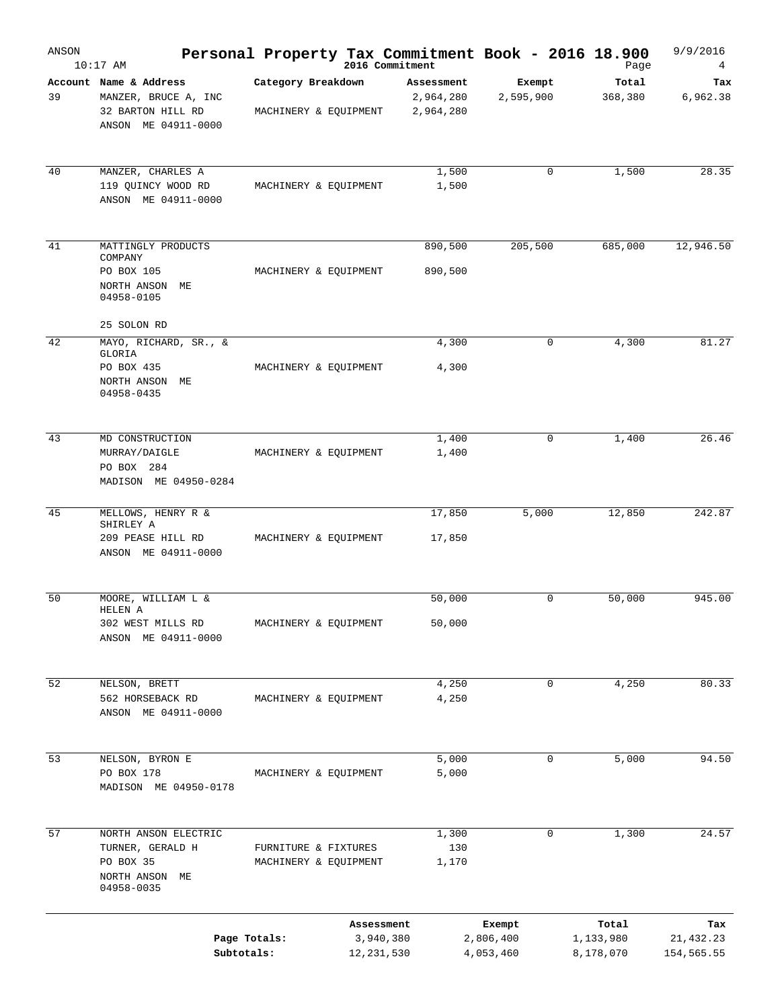| ANSON | $10:17$ AM                                 |                       |            | Personal Property Tax Commitment Book - 2016 18.900<br>2016 Commitment |           | Page      | 9/9/2016<br>4 |
|-------|--------------------------------------------|-----------------------|------------|------------------------------------------------------------------------|-----------|-----------|---------------|
|       | Account Name & Address                     | Category Breakdown    |            | Assessment                                                             | Exempt    | Total     | Tax           |
| 39    | MANZER, BRUCE A, INC                       |                       |            | 2,964,280                                                              | 2,595,900 | 368,380   | 6,962.38      |
|       | 32 BARTON HILL RD<br>ANSON ME 04911-0000   | MACHINERY & EQUIPMENT |            | 2,964,280                                                              |           |           |               |
| 40    | MANZER, CHARLES A                          |                       |            | 1,500                                                                  | 0         | 1,500     | 28.35         |
|       | 119 QUINCY WOOD RD<br>ANSON ME 04911-0000  | MACHINERY & EQUIPMENT |            | 1,500                                                                  |           |           |               |
| 41    | MATTINGLY PRODUCTS                         |                       |            | 890,500                                                                | 205,500   | 685,000   | 12,946.50     |
|       | COMPANY                                    |                       |            |                                                                        |           |           |               |
|       | PO BOX 105<br>NORTH ANSON ME<br>04958-0105 | MACHINERY & EQUIPMENT |            | 890,500                                                                |           |           |               |
|       | 25 SOLON RD                                |                       |            |                                                                        |           |           |               |
| 42    | MAYO, RICHARD, SR., &<br>GLORIA            |                       |            | 4,300                                                                  | 0         | 4,300     | 81.27         |
|       | PO BOX 435<br>NORTH ANSON ME<br>04958-0435 | MACHINERY & EQUIPMENT |            | 4,300                                                                  |           |           |               |
| 43    | MD CONSTRUCTION                            |                       |            | 1,400                                                                  | 0         | 1,400     | 26.46         |
|       | MURRAY/DAIGLE                              | MACHINERY & EQUIPMENT |            | 1,400                                                                  |           |           |               |
|       | PO BOX 284<br>MADISON ME 04950-0284        |                       |            |                                                                        |           |           |               |
|       |                                            |                       |            |                                                                        |           |           |               |
| 45    | MELLOWS, HENRY R &<br>SHIRLEY A            |                       |            | 17,850                                                                 | 5,000     | 12,850    | 242.87        |
|       | 209 PEASE HILL RD<br>ANSON ME 04911-0000   | MACHINERY & EQUIPMENT |            | 17,850                                                                 |           |           |               |
| 50    | MOORE, WILLIAM L &                         |                       |            | 50,000                                                                 | 0         | 50,000    | 945.00        |
|       | HELEN A                                    |                       |            |                                                                        |           |           |               |
|       | 302 WEST MILLS RD<br>ANSON ME 04911-0000   | MACHINERY & EQUIPMENT |            | 50,000                                                                 |           |           |               |
| 52    | NELSON, BRETT                              |                       |            | 4,250                                                                  | 0         | 4,250     | 80.33         |
|       | 562 HORSEBACK RD<br>ANSON ME 04911-0000    | MACHINERY & EQUIPMENT |            | 4,250                                                                  |           |           |               |
| 53    | NELSON, BYRON E                            |                       |            | 5,000                                                                  | 0         | 5,000     | 94.50         |
|       | PO BOX 178<br>MADISON ME 04950-0178        | MACHINERY & EQUIPMENT |            | 5,000                                                                  |           |           |               |
| 57    | NORTH ANSON ELECTRIC                       |                       |            | 1,300                                                                  | 0         | 1,300     | 24.57         |
|       | TURNER, GERALD H                           | FURNITURE & FIXTURES  |            | 130                                                                    |           |           |               |
|       | PO BOX 35<br>NORTH ANSON ME<br>04958-0035  | MACHINERY & EQUIPMENT |            | 1,170                                                                  |           |           |               |
|       |                                            |                       | Assessment |                                                                        | Exempt    | Total     | Tax           |
|       | Page Totals:                               |                       | 3,940,380  |                                                                        | 2,806,400 | 1,133,980 | 21,432.23     |
|       | Subtotals:                                 |                       | 12,231,530 |                                                                        | 4,053,460 | 8,178,070 | 154,565.55    |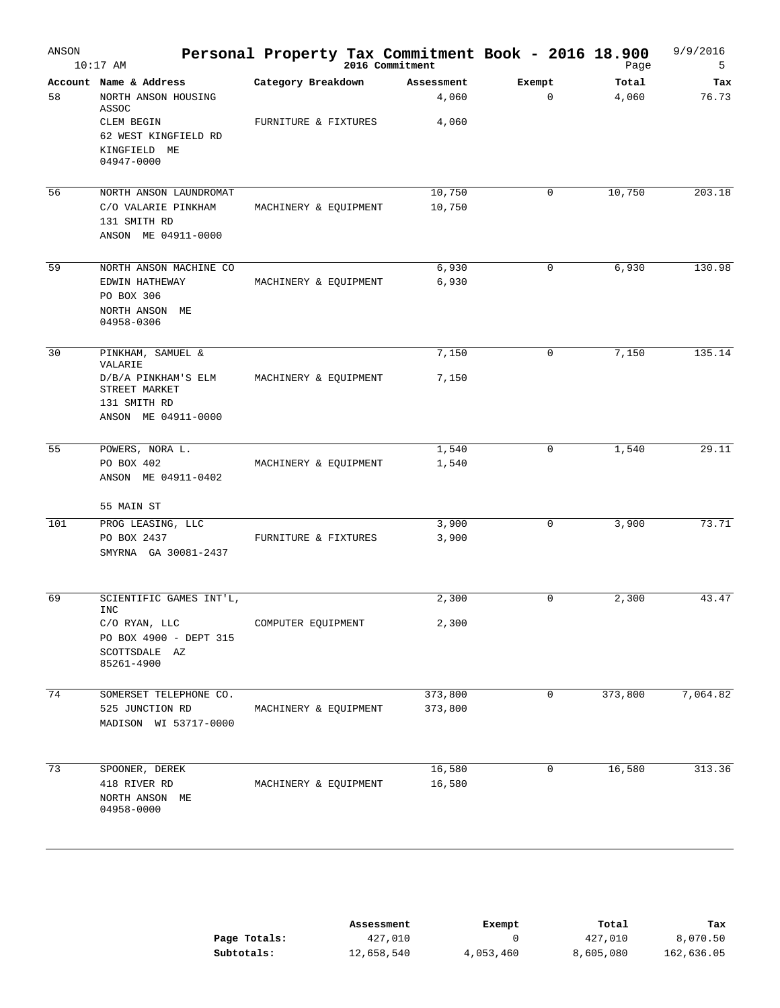| ANSON           | $10:17$ AM                                                                                                      |                       | Personal Property Tax Commitment Book - 2016 18.900 |                       | Page           | 9/9/2016<br>5 |
|-----------------|-----------------------------------------------------------------------------------------------------------------|-----------------------|-----------------------------------------------------|-----------------------|----------------|---------------|
| 58              | Account Name & Address<br>NORTH ANSON HOUSING<br>ASSOC                                                          | Category Breakdown    | Assessment<br>4,060                                 | Exempt<br>$\mathbf 0$ | Total<br>4,060 | Tax<br>76.73  |
|                 | CLEM BEGIN<br>62 WEST KINGFIELD RD<br>KINGFIELD ME<br>04947-0000                                                | FURNITURE & FIXTURES  | 4,060                                               |                       |                |               |
| 56              | NORTH ANSON LAUNDROMAT<br>C/O VALARIE PINKHAM<br>131 SMITH RD<br>ANSON ME 04911-0000                            | MACHINERY & EQUIPMENT | 10,750<br>10,750                                    | 0                     | 10,750         | 203.18        |
| 59              | NORTH ANSON MACHINE CO<br>EDWIN HATHEWAY<br>PO BOX 306<br>NORTH ANSON ME<br>04958-0306                          | MACHINERY & EQUIPMENT | 6,930<br>6,930                                      | $\mathbf 0$           | 6,930          | 130.98        |
| 30              | PINKHAM, SAMUEL &<br>VALARIE<br>D/B/A PINKHAM'S ELM<br>STREET MARKET<br>131 SMITH RD<br>ANSON ME 04911-0000     | MACHINERY & EQUIPMENT | 7,150<br>7,150                                      | 0                     | 7,150          | 135.14        |
| 55              | POWERS, NORA L.<br>PO BOX 402<br>ANSON ME 04911-0402<br>55 MAIN ST                                              | MACHINERY & EQUIPMENT | 1,540<br>1,540                                      | 0                     | 1,540          | 29.11         |
| 101             | PROG LEASING, LLC<br>PO BOX 2437<br>SMYRNA GA 30081-2437                                                        | FURNITURE & FIXTURES  | 3,900<br>3,900                                      | $\mathbf 0$           | 3,900          | 73.71         |
| 69              | SCIENTIFIC GAMES INT'L,<br><b>INC</b><br>C/O RYAN, LLC<br>PO BOX 4900 - DEPT 315<br>SCOTTSDALE AZ<br>85261-4900 | COMPUTER EQUIPMENT    | 2,300<br>2,300                                      | 0                     | 2,300          | 43.47         |
| $\overline{74}$ | SOMERSET TELEPHONE CO.<br>525 JUNCTION RD<br>MADISON WI 53717-0000                                              | MACHINERY & EQUIPMENT | 373,800<br>373,800                                  | 0                     | 373,800        | 7,064.82      |
| 73              | SPOONER, DEREK<br>418 RIVER RD<br>NORTH ANSON ME<br>04958-0000                                                  | MACHINERY & EQUIPMENT | 16,580<br>16,580                                    | 0                     | 16,580         | 313.36        |

|              | Assessment | Exempt    | Total     | Tax        |
|--------------|------------|-----------|-----------|------------|
| Page Totals: | 427,010    |           | 427,010   | 8,070.50   |
| Subtotals:   | 12,658,540 | 4,053,460 | 8,605,080 | 162,636.05 |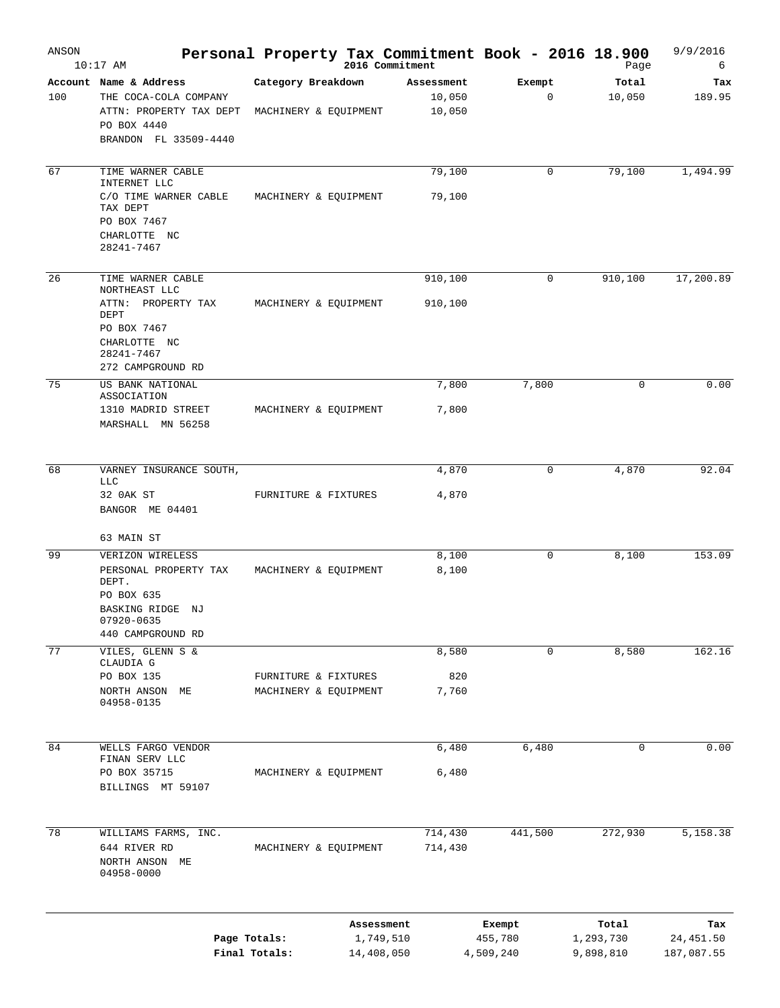| ANSON | $10:17$ AM                                                                                                                            |                                               |            | Personal Property Tax Commitment Book - 2016 18.900<br>2016 Commitment |                                | Page                            | 9/9/2016<br>6                  |
|-------|---------------------------------------------------------------------------------------------------------------------------------------|-----------------------------------------------|------------|------------------------------------------------------------------------|--------------------------------|---------------------------------|--------------------------------|
| 100   | Account Name & Address<br>THE COCA-COLA COMPANY<br>ATTN: PROPERTY TAX DEPT<br>PO BOX 4440<br>BRANDON FL 33509-4440                    | Category Breakdown<br>MACHINERY & EQUIPMENT   |            | Assessment<br>10,050<br>10,050                                         | Exempt<br>$\mathbf 0$          | Total<br>10,050                 | Tax<br>189.95                  |
| 67    | TIME WARNER CABLE<br>INTERNET LLC<br>C/O TIME WARNER CABLE<br>TAX DEPT<br>PO BOX 7467<br>CHARLOTTE NC<br>28241-7467                   | MACHINERY & EQUIPMENT                         |            | 79,100<br>79,100                                                       | 0                              | 79,100                          | 1,494.99                       |
| 26    | TIME WARNER CABLE<br>NORTHEAST LLC<br>ATTN:<br>PROPERTY TAX<br>DEPT<br>PO BOX 7467<br>CHARLOTTE NC<br>28241-7467<br>272 CAMPGROUND RD | MACHINERY & EQUIPMENT                         |            | 910,100<br>910,100                                                     | 0                              | 910,100                         | 17,200.89                      |
| 75    | US BANK NATIONAL<br>ASSOCIATION<br>1310 MADRID STREET<br>MARSHALL MN 56258                                                            | MACHINERY & EQUIPMENT                         |            | 7,800<br>7,800                                                         | 7,800                          | 0                               | 0.00                           |
| 68    | VARNEY INSURANCE SOUTH,<br><b>LLC</b><br>32 OAK ST<br>BANGOR ME 04401<br>63 MAIN ST                                                   | FURNITURE & FIXTURES                          |            | 4,870<br>4,870                                                         | 0                              | 4,870                           | 92.04                          |
| 99    | VERIZON WIRELESS<br>PERSONAL PROPERTY TAX<br>DEPT.<br>PO BOX 635<br>BASKING RIDGE NJ<br>07920-0635<br>440 CAMPGROUND RD               | MACHINERY & EQUIPMENT                         |            | 8,100<br>8,100                                                         | $\mathbf 0$                    | 8,100                           | 153.09                         |
| 77    | VILES, GLENN S &<br>CLAUDIA G<br>PO BOX 135<br>NORTH ANSON<br>MЕ<br>04958-0135                                                        | FURNITURE & FIXTURES<br>MACHINERY & EQUIPMENT |            | 8,580<br>820<br>7,760                                                  | 0                              | 8,580                           | 162.16                         |
| 84    | WELLS FARGO VENDOR<br>FINAN SERV LLC<br>PO BOX 35715<br>BILLINGS MT 59107                                                             | MACHINERY & EQUIPMENT                         |            | 6,480<br>6,480                                                         | 6,480                          | $\mathbf 0$                     | 0.00                           |
| 78    | WILLIAMS FARMS, INC.<br>644 RIVER RD<br>NORTH ANSON ME<br>04958-0000                                                                  | MACHINERY & EQUIPMENT                         |            | 714,430<br>714,430                                                     | 441,500                        | 272,930                         | 5,158.38                       |
|       | Page Totals:                                                                                                                          | Final Totals:                                 | 14,408,050 | Assessment<br>1,749,510                                                | Exempt<br>455,780<br>4,509,240 | Total<br>1,293,730<br>9,898,810 | Tax<br>24,451.50<br>187,087.55 |